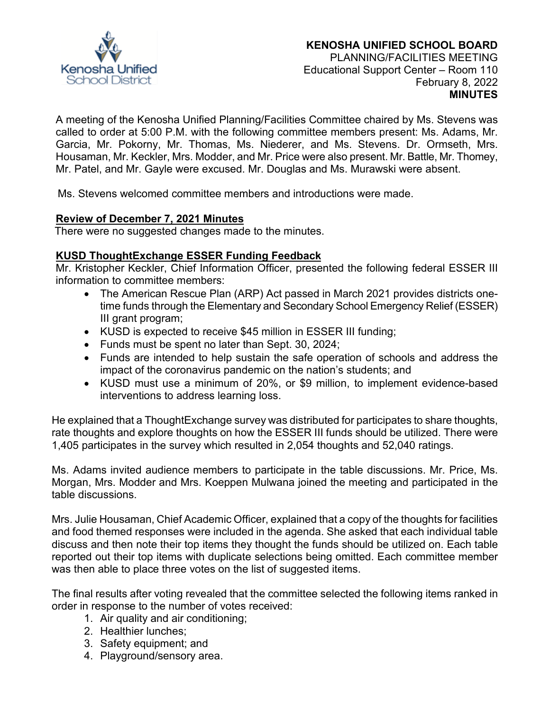

A meeting of the Kenosha Unified Planning/Facilities Committee chaired by Ms. Stevens was called to order at 5:00 P.M. with the following committee members present: Ms. Adams, Mr. Garcia, Mr. Pokorny, Mr. Thomas, Ms. Niederer, and Ms. Stevens. Dr. Ormseth, Mrs. Housaman, Mr. Keckler, Mrs. Modder, and Mr. Price were also present. Mr. Battle, Mr. Thomey, Mr. Patel, and Mr. Gayle were excused. Mr. Douglas and Ms. Murawski were absent.

Ms. Stevens welcomed committee members and introductions were made.

#### **Review of December 7, 2021 Minutes**

There were no suggested changes made to the minutes.

# **KUSD ThoughtExchange ESSER Funding Feedback**

Mr. Kristopher Keckler, Chief Information Officer, presented the following federal ESSER III information to committee members:

- The American Rescue Plan (ARP) Act passed in March 2021 provides districts onetime funds through the Elementary and Secondary School Emergency Relief (ESSER) III grant program;
- KUSD is expected to receive \$45 million in ESSER III funding;
- Funds must be spent no later than Sept. 30, 2024;
- Funds are intended to help sustain the safe operation of schools and address the impact of the coronavirus pandemic on the nation's students; and
- KUSD must use a minimum of 20%, or \$9 million, to implement evidence-based interventions to address learning loss.

He explained that a ThoughtExchange survey was distributed for participates to share thoughts, rate thoughts and explore thoughts on how the ESSER III funds should be utilized. There were 1,405 participates in the survey which resulted in 2,054 thoughts and 52,040 ratings.

Ms. Adams invited audience members to participate in the table discussions. Mr. Price, Ms. Morgan, Mrs. Modder and Mrs. Koeppen Mulwana joined the meeting and participated in the table discussions.

Mrs. Julie Housaman, Chief Academic Officer, explained that a copy of the thoughts for facilities and food themed responses were included in the agenda. She asked that each individual table discuss and then note their top items they thought the funds should be utilized on. Each table reported out their top items with duplicate selections being omitted. Each committee member was then able to place three votes on the list of suggested items.

The final results after voting revealed that the committee selected the following items ranked in order in response to the number of votes received:

- 1. Air quality and air conditioning;
- 2. Healthier lunches;
- 3. Safety equipment; and
- 4. Playground/sensory area.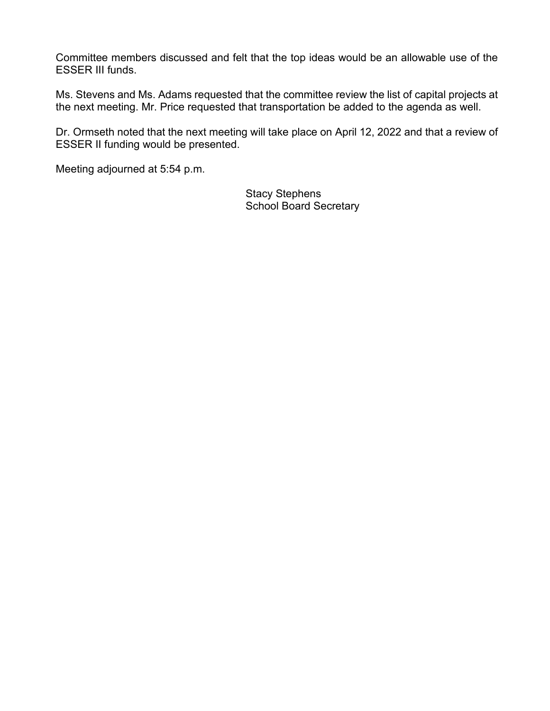Committee members discussed and felt that the top ideas would be an allowable use of the ESSER III funds.

Ms. Stevens and Ms. Adams requested that the committee review the list of capital projects at the next meeting. Mr. Price requested that transportation be added to the agenda as well.

Dr. Ormseth noted that the next meeting will take place on April 12, 2022 and that a review of ESSER II funding would be presented.

Meeting adjourned at 5:54 p.m.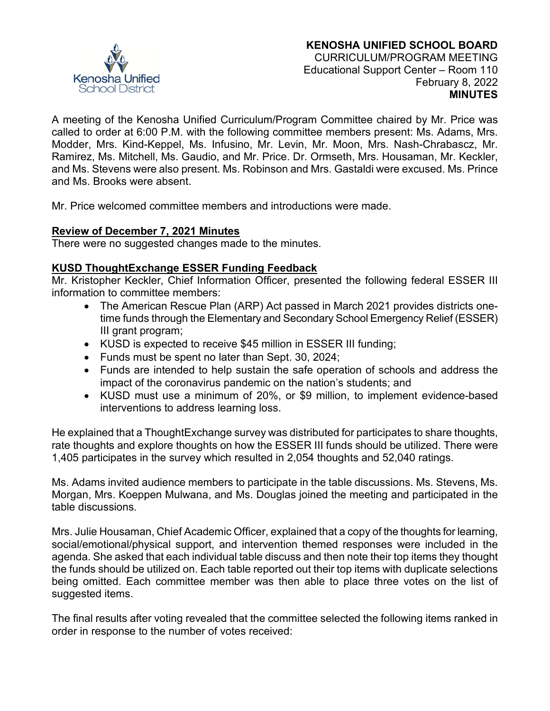

A meeting of the Kenosha Unified Curriculum/Program Committee chaired by Mr. Price was called to order at 6:00 P.M. with the following committee members present: Ms. Adams, Mrs. Modder, Mrs. Kind-Keppel, Ms. Infusino, Mr. Levin, Mr. Moon, Mrs. Nash-Chrabascz, Mr. Ramirez, Ms. Mitchell, Ms. Gaudio, and Mr. Price. Dr. Ormseth, Mrs. Housaman, Mr. Keckler, and Ms. Stevens were also present. Ms. Robinson and Mrs. Gastaldi were excused. Ms. Prince and Ms. Brooks were absent.

Mr. Price welcomed committee members and introductions were made.

# **Review of December 7, 2021 Minutes**

There were no suggested changes made to the minutes.

# **KUSD ThoughtExchange ESSER Funding Feedback**

Mr. Kristopher Keckler, Chief Information Officer, presented the following federal ESSER III information to committee members:

- The American Rescue Plan (ARP) Act passed in March 2021 provides districts onetime funds through the Elementary and Secondary School Emergency Relief (ESSER) III grant program;
- KUSD is expected to receive \$45 million in ESSER III funding;
- Funds must be spent no later than Sept. 30, 2024;
- Funds are intended to help sustain the safe operation of schools and address the impact of the coronavirus pandemic on the nation's students; and
- KUSD must use a minimum of 20%, or \$9 million, to implement evidence-based interventions to address learning loss.

He explained that a ThoughtExchange survey was distributed for participates to share thoughts, rate thoughts and explore thoughts on how the ESSER III funds should be utilized. There were 1,405 participates in the survey which resulted in 2,054 thoughts and 52,040 ratings.

Ms. Adams invited audience members to participate in the table discussions. Ms. Stevens, Ms. Morgan, Mrs. Koeppen Mulwana, and Ms. Douglas joined the meeting and participated in the table discussions.

Mrs. Julie Housaman, Chief Academic Officer, explained that a copy of the thoughts for learning, social/emotional/physical support, and intervention themed responses were included in the agenda. She asked that each individual table discuss and then note their top items they thought the funds should be utilized on. Each table reported out their top items with duplicate selections being omitted. Each committee member was then able to place three votes on the list of suggested items.

The final results after voting revealed that the committee selected the following items ranked in order in response to the number of votes received: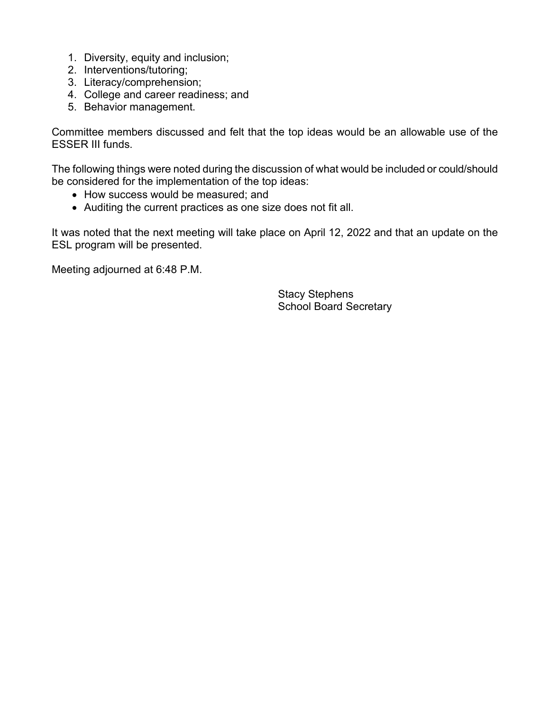- 1. Diversity, equity and inclusion;
- 2. Interventions/tutoring;
- 3. Literacy/comprehension;
- 4. College and career readiness; and
- 5. Behavior management.

Committee members discussed and felt that the top ideas would be an allowable use of the ESSER III funds.

The following things were noted during the discussion of what would be included or could/should be considered for the implementation of the top ideas:

- How success would be measured; and
- Auditing the current practices as one size does not fit all.

It was noted that the next meeting will take place on April 12, 2022 and that an update on the ESL program will be presented.

Meeting adjourned at 6:48 P.M.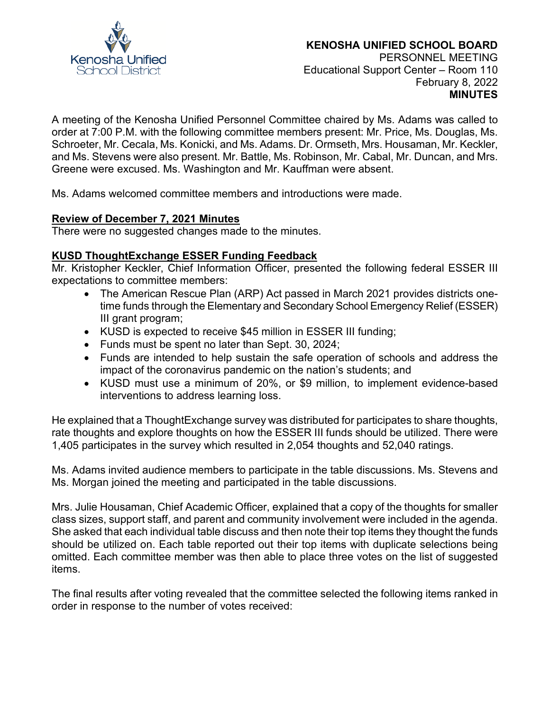

A meeting of the Kenosha Unified Personnel Committee chaired by Ms. Adams was called to order at 7:00 P.M. with the following committee members present: Mr. Price, Ms. Douglas, Ms. Schroeter, Mr. Cecala, Ms. Konicki, and Ms. Adams. Dr. Ormseth, Mrs. Housaman, Mr. Keckler, and Ms. Stevens were also present. Mr. Battle, Ms. Robinson, Mr. Cabal, Mr. Duncan, and Mrs. Greene were excused. Ms. Washington and Mr. Kauffman were absent.

Ms. Adams welcomed committee members and introductions were made.

#### **Review of December 7, 2021 Minutes**

There were no suggested changes made to the minutes.

# **KUSD ThoughtExchange ESSER Funding Feedback**

Mr. Kristopher Keckler, Chief Information Officer, presented the following federal ESSER III expectations to committee members:

- The American Rescue Plan (ARP) Act passed in March 2021 provides districts onetime funds through the Elementary and Secondary School Emergency Relief (ESSER) III grant program;
- KUSD is expected to receive \$45 million in ESSER III funding;
- Funds must be spent no later than Sept. 30, 2024;
- Funds are intended to help sustain the safe operation of schools and address the impact of the coronavirus pandemic on the nation's students; and
- KUSD must use a minimum of 20%, or \$9 million, to implement evidence-based interventions to address learning loss.

He explained that a ThoughtExchange survey was distributed for participates to share thoughts, rate thoughts and explore thoughts on how the ESSER III funds should be utilized. There were 1,405 participates in the survey which resulted in 2,054 thoughts and 52,040 ratings.

Ms. Adams invited audience members to participate in the table discussions. Ms. Stevens and Ms. Morgan joined the meeting and participated in the table discussions.

Mrs. Julie Housaman, Chief Academic Officer, explained that a copy of the thoughts for smaller class sizes, support staff, and parent and community involvement were included in the agenda. She asked that each individual table discuss and then note their top items they thought the funds should be utilized on. Each table reported out their top items with duplicate selections being omitted. Each committee member was then able to place three votes on the list of suggested items.

The final results after voting revealed that the committee selected the following items ranked in order in response to the number of votes received: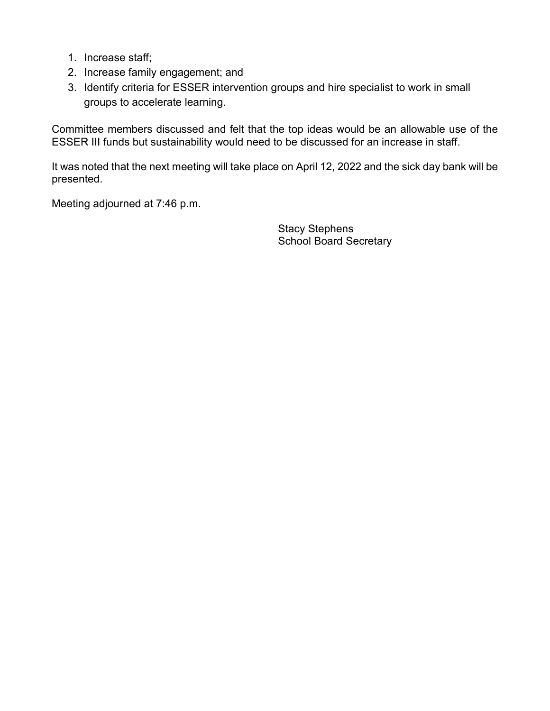- 1. Increase staff;
- 2. Increase family engagement; and
- 3. Identify criteria for ESSER intervention groups and hire specialist to work in small groups to accelerate learning.

Committee members discussed and felt that the top ideas would be an allowable use of the ESSER III funds but sustainability would need to be discussed for an increase in staff.

It was noted that the next meeting will take place on April 12, 2022 and the sick day bank will be presented.

Meeting adjourned at 7:46 p.m.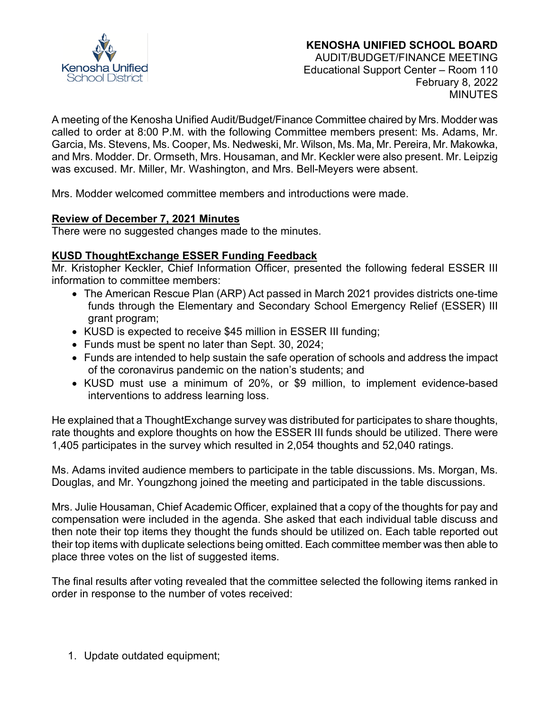

# **KENOSHA UNIFIED SCHOOL BOARD** AUDIT/BUDGET/FINANCE MEETING

Educational Support Center – Room 110 February 8, 2022 **MINUTES** 

A meeting of the Kenosha Unified Audit/Budget/Finance Committee chaired by Mrs. Modder was called to order at 8:00 P.M. with the following Committee members present: Ms. Adams, Mr. Garcia, Ms. Stevens, Ms. Cooper, Ms. Nedweski, Mr. Wilson, Ms. Ma, Mr. Pereira, Mr. Makowka, and Mrs. Modder. Dr. Ormseth, Mrs. Housaman, and Mr. Keckler were also present. Mr. Leipzig was excused. Mr. Miller, Mr. Washington, and Mrs. Bell-Meyers were absent.

Mrs. Modder welcomed committee members and introductions were made.

# **Review of December 7, 2021 Minutes**

There were no suggested changes made to the minutes.

# **KUSD ThoughtExchange ESSER Funding Feedback**

Mr. Kristopher Keckler, Chief Information Officer, presented the following federal ESSER III information to committee members:

- The American Rescue Plan (ARP) Act passed in March 2021 provides districts one-time funds through the Elementary and Secondary School Emergency Relief (ESSER) III grant program;
- KUSD is expected to receive \$45 million in ESSER III funding;
- Funds must be spent no later than Sept. 30, 2024;
- Funds are intended to help sustain the safe operation of schools and address the impact of the coronavirus pandemic on the nation's students; and
- KUSD must use a minimum of 20%, or \$9 million, to implement evidence-based interventions to address learning loss.

He explained that a ThoughtExchange survey was distributed for participates to share thoughts, rate thoughts and explore thoughts on how the ESSER III funds should be utilized. There were 1,405 participates in the survey which resulted in 2,054 thoughts and 52,040 ratings.

Ms. Adams invited audience members to participate in the table discussions. Ms. Morgan, Ms. Douglas, and Mr. Youngzhong joined the meeting and participated in the table discussions.

Mrs. Julie Housaman, Chief Academic Officer, explained that a copy of the thoughts for pay and compensation were included in the agenda. She asked that each individual table discuss and then note their top items they thought the funds should be utilized on. Each table reported out their top items with duplicate selections being omitted. Each committee member was then able to place three votes on the list of suggested items.

The final results after voting revealed that the committee selected the following items ranked in order in response to the number of votes received:

1. Update outdated equipment;